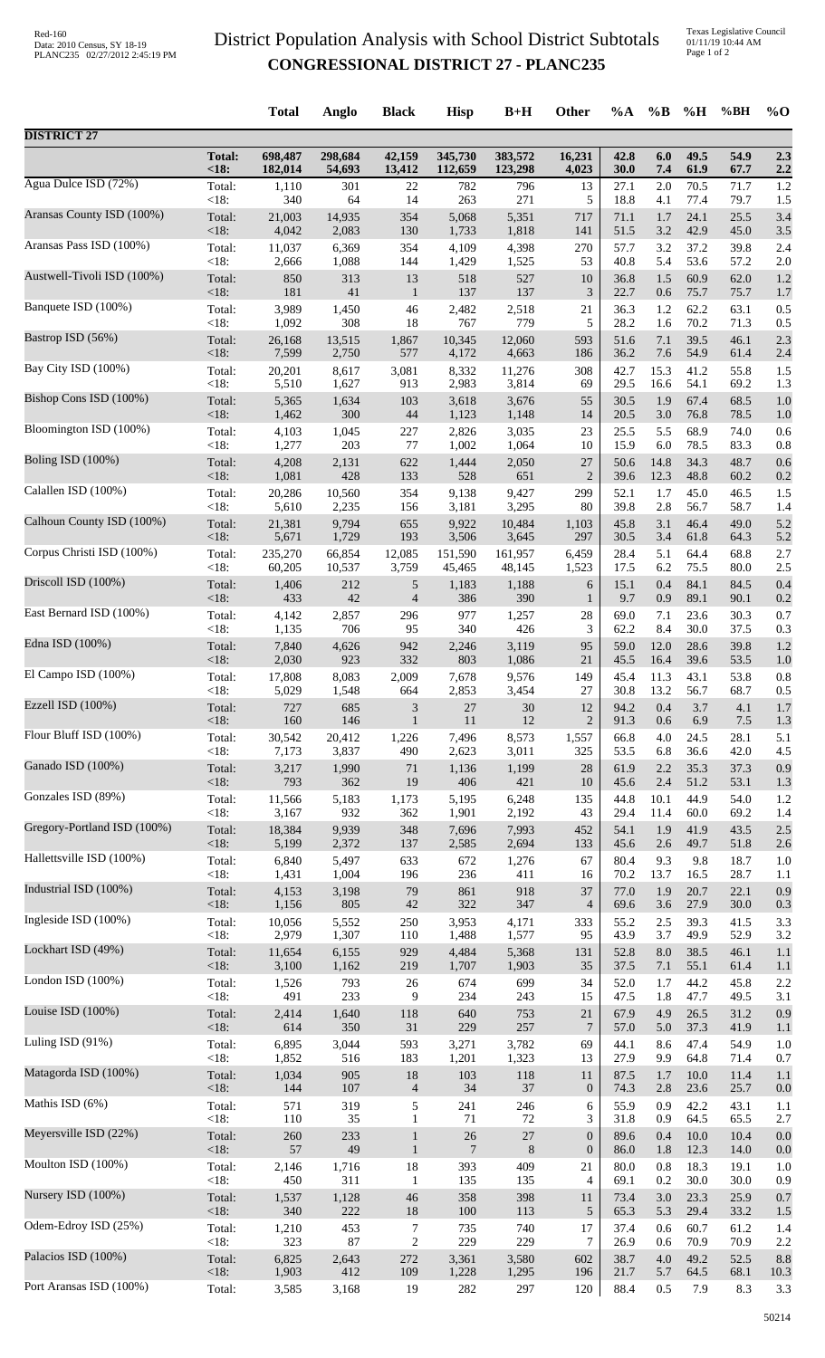## District Population Analysis with School District Subtotals **CONGRESSIONAL DISTRICT 27 - PLANC235**

Texas Legislative Council 01/11/19 10:44 AM Page 1 of 2

|                             |                 | <b>Total</b>   | Anglo        | <b>Black</b>          | <b>Hisp</b>  | $B+H$           | Other            | $\%A$        | $\%B$        | %H                   | %BH          | $\%$ O     |
|-----------------------------|-----------------|----------------|--------------|-----------------------|--------------|-----------------|------------------|--------------|--------------|----------------------|--------------|------------|
| <b>DISTRICT 27</b>          |                 |                |              |                       |              |                 |                  |              |              |                      |              |            |
|                             | <b>Total:</b>   | 698,487        | 298,684      | 42,159                | 345,730      | 383,572         | 16,231           | 42.8         | 6.0          | 49.5                 | 54.9         | 2.3        |
|                             | <18:            | 182,014        | 54,693       | 13,412                | 112,659      | 123,298         | 4,023            | 30.0         | 7.4          | 61.9                 | 67.7         | 2.2        |
| Agua Dulce ISD (72%)        | Total:          | 1,110          | 301          | 22                    | 782          | 796             | 13               | 27.1         | 2.0          | 70.5                 | 71.7         | 1.2        |
|                             | < 18:           | 340            | 64           | 14                    | 263          | 271             | 5                | 18.8         | 4.1          | 77.4                 | 79.7         | 1.5        |
| Aransas County ISD (100%)   | Total:          | 21,003         | 14,935       | 354                   | 5,068        | 5,351           | 717              | 71.1         | 1.7          | 24.1                 | 25.5         | 3.4        |
|                             | <18:            | 4,042          | 2,083        | 130                   | 1,733        | 1,818           | 141              | 51.5         | 3.2          | 42.9                 | 45.0         | 3.5        |
| Aransas Pass ISD (100%)     | Total:          | 11,037         | 6,369        | 354                   | 4,109        | 4,398           | 270              | 57.7         | 3.2          | 37.2                 | 39.8         | 2.4        |
|                             | <18:            | 2,666          | 1,088        | 144                   | 1,429        | 1,525           | 53               | 40.8         | 5.4          | 53.6                 | 57.2         | 2.0        |
| Austwell-Tivoli ISD (100%)  | Total:          | 850            | 313<br>41    | 13                    | 518          | 527             | 10<br>3          | 36.8         | 1.5          | 60.9<br>75.7         | 62.0         | 1.2        |
| Banquete ISD (100%)         | <18:<br>Total:  | 181<br>3,989   | 1,450        | $\mathbf{1}$<br>46    | 137<br>2,482 | 137<br>2,518    | 21               | 22.7<br>36.3 | 0.6<br>1.2   | 62.2                 | 75.7<br>63.1 | 1.7<br>0.5 |
| Bastrop ISD (56%)           | < 18:           | 1,092          | 308          | 18                    | 767          | 779             | 5                | 28.2         | 1.6          | 70.2                 | 71.3         | 0.5        |
|                             | Total:          | 26,168         | 13,515       | 1,867                 | 10,345       | 12,060          | 593              | 51.6         | 7.1          | 39.5                 | 46.1         | 2.3        |
| Bay City ISD (100%)         | $<18$ :         | 7,599          | 2,750        | 577                   | 4,172        | 4,663           | 186              | 36.2         | 7.6          | 54.9                 | 61.4         | 2.4        |
|                             | Total:          | 20,201         | 8,617        | 3,081                 | 8,332        | 11,276          | 308              | 42.7         | 15.3         | 41.2                 | 55.8         | 1.5        |
| Bishop Cons ISD (100%)      | < 18:           | 5,510          | 1,627        | 913                   | 2,983        | 3,814           | 69               | 29.5         | 16.6         | 54.1                 | 69.2         | 1.3        |
|                             | Total:          | 5,365          | 1,634        | 103                   | 3,618        | 3,676           | 55               | 30.5         | 1.9          | 67.4                 | 68.5         | 1.0        |
| Bloomington ISD (100%)      | < 18:           | 1,462          | 300          | 44                    | 1,123        | 1,148           | 14               | 20.5         | 3.0          | 76.8                 | 78.5         | 1.0        |
|                             | Total:          | 4,103          | 1,045        | 227                   | 2,826        | 3,035           | 23               | 25.5         | 5.5          | 68.9                 | 74.0         | 0.6        |
| Boling ISD (100%)           | < 18:           | 1,277          | 203          | 77                    | 1,002        | 1,064           | 10               | 15.9         | 6.0          | 78.5                 | 83.3         | 0.8        |
|                             | Total:          | 4,208          | 2,131        | 622                   | 1,444        | 2,050           | 27               | 50.6         | 14.8         | 34.3                 | 48.7         | 0.6        |
| Calallen ISD (100%)         | < 18:           | 1,081          | 428          | 133                   | 528          | 651             | $\overline{2}$   | 39.6         | 12.3         | 48.8                 | 60.2         | 0.2        |
|                             | Total:          | 20,286         | 10,560       | 354                   | 9,138        | 9,427           | 299              | 52.1         | 1.7          | 45.0                 | 46.5         | 1.5        |
|                             | < 18:           | 5,610          | 2,235        | 156                   | 3,181        | 3,295           | 80               | 39.8         | 2.8          | 56.7                 | 58.7         | 1.4        |
| Calhoun County ISD (100%)   | Total:          | 21,381         | 9,794        | 655                   | 9,922        | 10,484          | 1,103            | 45.8         | 3.1          | 46.4                 | 49.0         | 5.2        |
|                             | <18:            | 5,671          | 1,729        | 193                   | 3,506        | 3,645           | 297              | 30.5         | 3.4          | 61.8                 | 64.3         | 5.2        |
| Corpus Christi ISD (100%)   | Total:          | 235,270        | 66,854       | 12,085                | 151,590      | 161,957         | 6,459            | 28.4         | 5.1          | 64.4                 | 68.8         | 2.7        |
|                             | < 18:           | 60,205         | 10,537       | 3,759                 | 45,465       | 48,145          | 1,523            | 17.5         | 6.2          | 75.5                 | 80.0         | 2.5        |
| Driscoll ISD (100%)         | Total:          | 1,406          | 212          | 5                     | 1,183        | 1,188           | 6                | 15.1         | 0.4          | 84.1                 | 84.5         | 0.4        |
|                             | < 18:           | 433            | 42           | $\overline{4}$        | 386          | 390             | $\mathbf{1}$     | 9.7          | 0.9          | 89.1                 | 90.1         | 0.2        |
| East Bernard ISD (100%)     | Total:          | 4,142          | 2,857        | 296                   | 977          | 1,257           | 28               | 69.0         | 7.1          | 23.6                 | 30.3         | 0.7        |
|                             | $<18$ :         | 1,135          | 706          | 95                    | 340          | 426             | 3                | 62.2         | 8.4          | 30.0                 | 37.5         | 0.3        |
| Edna ISD (100%)             | Total:<br><18:  | 7,840<br>2,030 | 4,626<br>923 | 942<br>332            | 2,246<br>803 | 3,119<br>1,086  | 95<br>21         | 59.0<br>45.5 | 12.0<br>16.4 | 28.6<br>39.6         | 39.8<br>53.5 | 1.2        |
| El Campo ISD $(100\%)$      | Total:          | 17,808         | 8,083        | 2,009                 | 7,678        | 9,576           | 149              | 45.4         | 11.3         | 43.1                 | 53.8         | 1.0<br>0.8 |
| Ezzell ISD (100%)           | < 18:<br>Total: | 5,029<br>727   | 1,548<br>685 | 664<br>$\mathfrak{Z}$ | 2,853<br>27  | 3,454<br>$30\,$ | 27<br>$12\,$     | 30.8         | 13.2         | 56.7<br>94.2 0.4 3.7 | 68.7<br>4.1  | 0.5<br>1.7 |
| Flour Bluff ISD (100%)      | $<18$ :         | 160            | 146          | $\mathbf{1}$          | 11           | 12              | $\overline{2}$   | 91.3         | 0.6          | 6.9                  | 7.5          | 1.3        |
|                             | Total:          | 30,542         | 20,412       | 1,226                 | 7,496        | 8,573           | 1,557            | 66.8         | 4.0          | 24.5                 | 28.1         | 5.1        |
| Ganado ISD (100%)           | < 18:           | 7,173          | 3,837        | 490                   | 2,623        | 3,011           | 325              | 53.5         | 6.8          | 36.6                 | 42.0         | 4.5        |
|                             | Total:          | 3,217          | 1,990        | $71\,$                | 1,136        | 1,199           | 28               | 61.9         | 2.2          | 35.3                 | 37.3         | 0.9        |
| Gonzales ISD (89%)          | < 18:           | 793            | 362          | 19                    | 406          | 421             | 10               | 45.6         | 2.4          | 51.2                 | 53.1         | 1.3        |
|                             | Total:          | 11,566         | 5,183        | 1,173                 | 5,195        | 6,248           | 135              | 44.8         | 10.1         | 44.9                 | 54.0         | 1.2        |
| Gregory-Portland ISD (100%) | < 18:           | 3,167          | 932          | 362                   | 1,901        | 2,192           | 43               | 29.4         | 11.4         | 60.0                 | 69.2         | 1.4        |
|                             | Total:          | 18,384         | 9,939        | 348                   | 7,696        | 7,993           | 452              | 54.1         | 1.9          | 41.9                 | 43.5         | 2.5        |
| Hallettsville ISD (100%)    | < 18:           | 5,199          | 2,372        | 137                   | 2,585        | 2,694           | 133              | 45.6         | 2.6          | 49.7                 | 51.8         | 2.6        |
|                             | Total:          | 6,840          | 5,497        | 633                   | 672          | 1,276           | 67               | 80.4         | 9.3          | 9.8                  | 18.7         | 1.0        |
|                             | < 18:           | 1,431          | 1,004        | 196                   | 236          | 411             | 16               | 70.2         | 13.7         | 16.5                 | 28.7         | 1.1        |
| Industrial ISD (100%)       | Total:          | 4,153          | 3,198        | 79                    | 861          | 918             | 37               | 77.0         | 1.9          | 20.7                 | 22.1         | 0.9        |
|                             | < 18:           | 1,156          | 805          | $42\,$                | 322          | 347             | $\overline{4}$   | 69.6         | 3.6          | 27.9                 | 30.0         | 0.3        |
| Ingleside ISD (100%)        | Total:          | 10,056         | 5,552        | 250                   | 3,953        | 4,171           | 333              | 55.2         | 2.5          | 39.3                 | 41.5         | 3.3        |
|                             | < 18:           | 2,979          | 1,307        | 110                   | 1,488        | 1,577           | 95               | 43.9         | 3.7          | 49.9                 | 52.9         | 3.2        |
| Lockhart ISD (49%)          | Total:          | 11,654         | 6,155        | 929                   | 4,484        | 5,368           | 131              | 52.8         | $8.0\,$      | 38.5                 | 46.1         | 1.1        |
|                             | <18:            | 3,100          | 1,162        | 219                   | 1,707        | 1,903           | 35               | 37.5         | 7.1          | 55.1                 | 61.4         | 1.1        |
| London ISD (100%)           | Total:          | 1,526          | 793          | 26                    | 674          | 699             | 34               | 52.0         | 1.7          | 44.2                 | 45.8         | 2.2        |
|                             | < 18:           | 491            | 233          | 9                     | 234          | 243             | 15               | 47.5         | 1.8          | 47.7                 | 49.5         | 3.1        |
| Louise ISD (100%)           | Total:          | 2,414          | 1,640        | 118                   | 640          | 753             | 21               | 67.9         | 4.9          | 26.5                 | 31.2         | 0.9        |
| Luling ISD (91%)            | < 18:           | 614            | 350          | 31                    | 229          | 257             | $\overline{7}$   | 57.0         | 5.0          | 37.3                 | 41.9         | 1.1        |
|                             | Total:          | 6,895          | 3,044        | 593                   | 3,271        | 3,782           | 69               | 44.1         | 8.6          | 47.4                 | 54.9         | 1.0        |
| Matagorda ISD (100%)        | < 18:           | 1,852          | 516          | 183                   | 1,201        | 1,323           | 13               | 27.9         | 9.9          | 64.8                 | 71.4         | 0.7        |
|                             | Total:          | 1,034          | 905          | 18                    | 103          | 118             | 11               | 87.5         | 1.7          | 10.0                 | 11.4         | 1.1        |
| Mathis ISD (6%)             | < 18:           | 144            | 107          | $\overline{4}$        | 34           | 37              | $\boldsymbol{0}$ | 74.3         | 2.8          | 23.6                 | 25.7         | 0.0        |
|                             | Total:          | 571            | 319          | 5                     | 241          | 246             | 6                | 55.9         | 0.9          | 42.2                 | 43.1         | 1.1        |
| Meyersville ISD (22%)       | < 18:           | 110            | 35           | $\mathbf{1}$          | 71           | $72\,$          | 3                | 31.8         | 0.9          | 64.5                 | 65.5         | 2.7        |
|                             | Total:          | 260            | 233          | $\mathbf{1}$          | $26\,$       | $27\,$          | $\boldsymbol{0}$ | 89.6         | 0.4          | 10.0                 | 10.4         | 0.0        |
| Moulton ISD (100%)          | < 18:           | 57             | 49           | $\mathbf{1}$          | $\tau$       | $8\phantom{1}$  | $\boldsymbol{0}$ | 86.0         | 1.8          | 12.3                 | 14.0         | 0.0        |
|                             | Total:          | 2,146          | 1,716        | 18                    | 393          | 409             | 21               | 80.0         | $0.8\,$      | 18.3                 | 19.1         | 1.0        |
|                             | < 18:           | 450            | 311          | 1                     | 135          | 135             | $\overline{4}$   | 69.1         | 0.2          | 30.0                 | 30.0         | 0.9        |
| Nursery ISD (100%)          | Total:          | 1,537          | 1,128        | 46                    | 358          | 398             | 11               | 73.4         | 3.0          | 23.3                 | 25.9         | 0.7        |
|                             | < 18:           | 340            | 222          | 18                    | 100          | 113             | 5                | 65.3         | 5.3          | 29.4                 | 33.2         | 1.5        |
| Odem-Edroy ISD (25%)        | Total:          | 1,210          | 453          | 7                     | 735          | 740             | 17               | 37.4         | 0.6          | 60.7                 | 61.2         | 1.4        |
|                             | < 18:           | 323            | 87           | $\boldsymbol{2}$      | 229          | 229             | 7                | 26.9         | 0.6          | 70.9                 | 70.9         | 2.2        |
| Palacios ISD (100%)         | Total:          | 6,825          | 2,643        | 272                   | 3,361        | 3,580           | 602              | 38.7         | $4.0\,$      | 49.2                 | 52.5         | 8.8        |
|                             | <18:            | 1,903          | 412          | 109                   | 1,228        | 1,295           | 196              | 21.7         | 5.7          | 64.5                 | 68.1         | 10.3       |
| Port Aransas ISD (100%)     | Total:          | 3,585          | 3,168        | 19                    | 282          | 297             | 120              | 88.4         | 0.5          | 7.9                  | 8.3          | 3.3        |